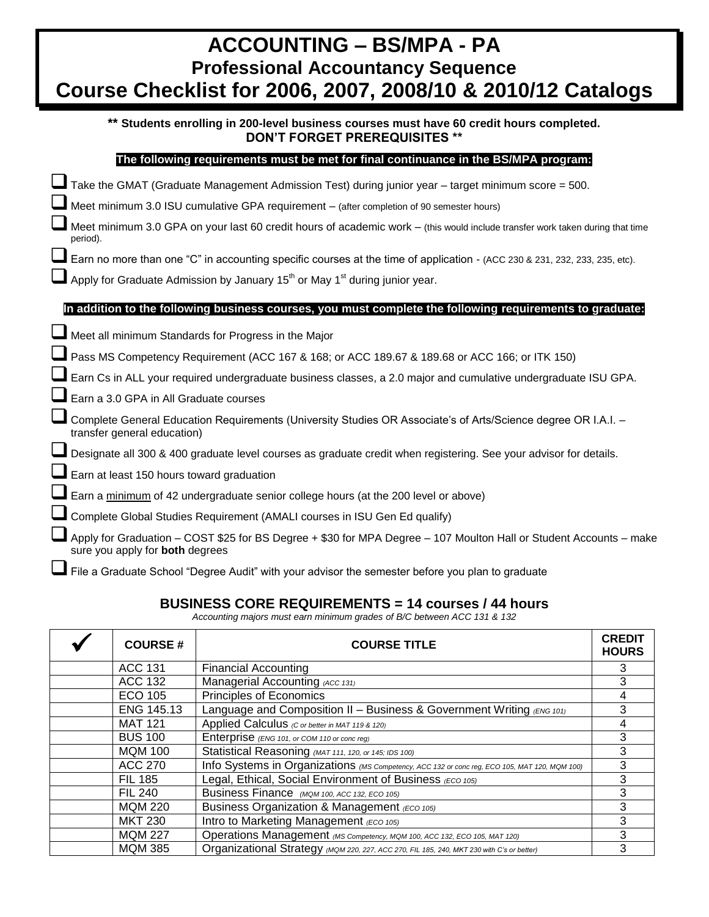| <b>ACCOUNTING - BS/MPA - PA</b><br><b>Professional Accountancy Sequence</b><br>Course Checklist for 2006, 2007, 2008/10 & 2010/12 Catalogs                                                                                                                                                                                        |  |  |  |
|-----------------------------------------------------------------------------------------------------------------------------------------------------------------------------------------------------------------------------------------------------------------------------------------------------------------------------------|--|--|--|
| ** Students enrolling in 200-level business courses must have 60 credit hours completed.<br><b>DON'T FORGET PREREQUISITES **</b>                                                                                                                                                                                                  |  |  |  |
| The following requirements must be met for final continuance in the BS/MPA program:                                                                                                                                                                                                                                               |  |  |  |
| Take the GMAT (Graduate Management Admission Test) during junior year - target minimum score = 500.<br>Meet minimum 3.0 ISU cumulative GPA requirement - (after completion of 90 semester hours)<br>Meet minimum 3.0 GPA on your last 60 credit hours of academic work - (this would include transfer work taken during that time |  |  |  |
| period).<br>Earn no more than one "C" in accounting specific courses at the time of application - (ACC 230 & 231, 232, 233, 235, etc).<br>Apply for Graduate Admission by January 15 <sup>th</sup> or May 1 <sup>st</sup> during junior year.                                                                                     |  |  |  |
| In addition to the following business courses, you must complete the following requirements to graduate:                                                                                                                                                                                                                          |  |  |  |
| Meet all minimum Standards for Progress in the Major                                                                                                                                                                                                                                                                              |  |  |  |
| Pass MS Competency Requirement (ACC 167 & 168; or ACC 189.67 & 189.68 or ACC 166; or ITK 150)                                                                                                                                                                                                                                     |  |  |  |
| Earn Cs in ALL your required undergraduate business classes, a 2.0 major and cumulative undergraduate ISU GPA.                                                                                                                                                                                                                    |  |  |  |
| Earn a 3.0 GPA in All Graduate courses                                                                                                                                                                                                                                                                                            |  |  |  |
| Complete General Education Requirements (University Studies OR Associate's of Arts/Science degree OR I.A.I. -<br>transfer general education)                                                                                                                                                                                      |  |  |  |
| Designate all 300 & 400 graduate level courses as graduate credit when registering. See your advisor for details.                                                                                                                                                                                                                 |  |  |  |
| Earn at least 150 hours toward graduation                                                                                                                                                                                                                                                                                         |  |  |  |
| Earn a minimum of 42 undergraduate senior college hours (at the 200 level or above)                                                                                                                                                                                                                                               |  |  |  |
| Complete Global Studies Requirement (AMALI courses in ISU Gen Ed qualify)                                                                                                                                                                                                                                                         |  |  |  |
| Apply for Graduation - COST \$25 for BS Degree + \$30 for MPA Degree - 107 Moulton Hall or Student Accounts - make<br>sure you apply for both degrees                                                                                                                                                                             |  |  |  |
| File a Graduate School "Degree Audit" with your advisor the semester before you plan to graduate                                                                                                                                                                                                                                  |  |  |  |

# **BUSINESS CORE REQUIREMENTS = 14 courses / 44 hours**

*Accounting majors must earn minimum grades of B/C between ACC 131 & 132*

| <b>COURSE#</b> | <b>COURSE TITLE</b>                                                                           |   |  |
|----------------|-----------------------------------------------------------------------------------------------|---|--|
| <b>ACC 131</b> | <b>Financial Accounting</b>                                                                   | 3 |  |
| ACC 132        | Managerial Accounting (ACC 131)                                                               |   |  |
| <b>ECO 105</b> | Principles of Economics                                                                       | 4 |  |
| ENG 145.13     | Language and Composition II - Business & Government Writing (ENG 101)                         | 3 |  |
| <b>MAT 121</b> | Applied Calculus (C or better in MAT 119 & 120)                                               | 4 |  |
| <b>BUS 100</b> | Enterprise (ENG 101, or COM 110 or conc reg)                                                  | 3 |  |
| <b>MQM 100</b> | Statistical Reasoning (MAT 111, 120, or 145; IDS 100)                                         | 3 |  |
| <b>ACC 270</b> | Info Systems in Organizations (MS Competency, ACC 132 or conc reg, ECO 105, MAT 120, MQM 100) | 3 |  |
| <b>FIL 185</b> | Legal, Ethical, Social Environment of Business (ECO 105)                                      |   |  |
| <b>FIL 240</b> | Business Finance (MQM 100, ACC 132, ECO 105)                                                  | 3 |  |
| <b>MQM 220</b> | Business Organization & Management (ECO 105)                                                  | 3 |  |
| <b>MKT 230</b> | Intro to Marketing Management (ECO 105)                                                       | 3 |  |
| <b>MQM 227</b> | Operations Management (MS Competency, MQM 100, ACC 132, ECO 105, MAT 120)                     | 3 |  |
| <b>MQM 385</b> | Organizational Strategy (MQM 220, 227, ACC 270, FIL 185, 240, MKT 230 with C's or better)     | 3 |  |